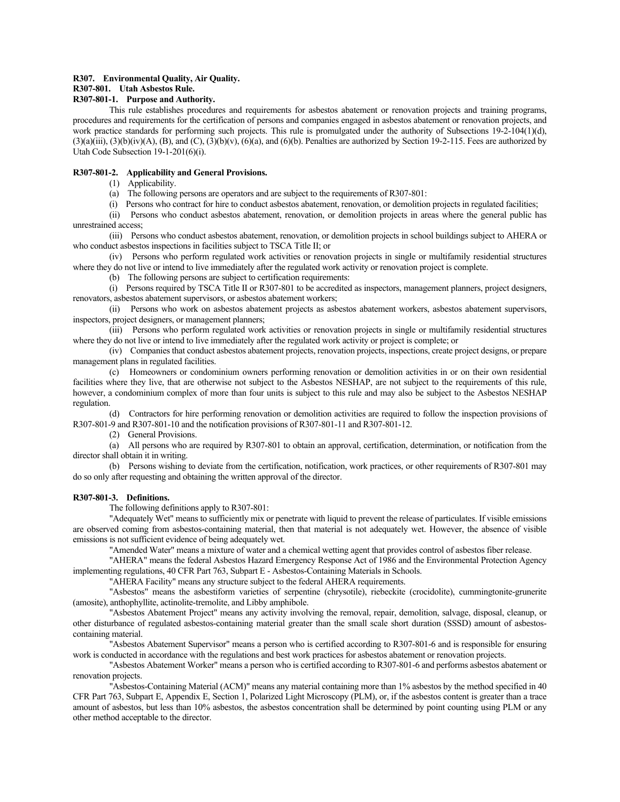## **R307. Environmental Quality, Air Quality.**

# **R307-801. Utah Asbestos Rule.**

# **R307-801-1. Purpose and Authority.**

This rule establishes procedures and requirements for asbestos abatement or renovation projects and training programs, procedures and requirements for the certification of persons and companies engaged in asbestos abatement or renovation projects, and work practice standards for performing such projects. This rule is promulgated under the authority of Subsections 19-2-104(1)(d),  $(3)(a)(iii)$ ,  $(3)(b)(iv)(A)$ ,  $(B)$ , and  $(C)$ ,  $(3)(b)(v)$ ,  $(6)(a)$ , and  $(6)(b)$ . Penalties are authorized by Section 19-2-115. Fees are authorized by Utah Code Subsection 19-1-201(6)(i).

## **R307-801-2. Applicability and General Provisions.**

(1) Applicability.

- (a) The following persons are operators and are subject to the requirements of R307-801:
- (i) Persons who contract for hire to conduct asbestos abatement, renovation, or demolition projects in regulated facilities;

(ii) Persons who conduct asbestos abatement, renovation, or demolition projects in areas where the general public has unrestrained access;

(iii) Persons who conduct asbestos abatement, renovation, or demolition projects in school buildings subject to AHERA or who conduct asbestos inspections in facilities subject to TSCA Title II; or

(iv) Persons who perform regulated work activities or renovation projects in single or multifamily residential structures where they do not live or intend to live immediately after the regulated work activity or renovation project is complete.

(b) The following persons are subject to certification requirements:

(i) Persons required by TSCA Title II or R307-801 to be accredited as inspectors, management planners, project designers, renovators, asbestos abatement supervisors, or asbestos abatement workers;

(ii) Persons who work on asbestos abatement projects as asbestos abatement workers, asbestos abatement supervisors, inspectors, project designers, or management planners;

(iii) Persons who perform regulated work activities or renovation projects in single or multifamily residential structures where they do not live or intend to live immediately after the regulated work activity or project is complete; or

(iv) Companies that conduct asbestos abatement projects, renovation projects, inspections, create project designs, or prepare management plans in regulated facilities.

(c) Homeowners or condominium owners performing renovation or demolition activities in or on their own residential facilities where they live, that are otherwise not subject to the Asbestos NESHAP, are not subject to the requirements of this rule, however, a condominium complex of more than four units is subject to this rule and may also be subject to the Asbestos NESHAP regulation.

(d) Contractors for hire performing renovation or demolition activities are required to follow the inspection provisions of R307-801-9 and R307-801-10 and the notification provisions of R307-801-11 and R307-801-12.

(2) General Provisions.

(a) All persons who are required by R307-801 to obtain an approval, certification, determination, or notification from the director shall obtain it in writing.

(b) Persons wishing to deviate from the certification, notification, work practices, or other requirements of R307-801 may do so only after requesting and obtaining the written approval of the director.

## **R307-801-3. Definitions.**

The following definitions apply to R307-801:

"Adequately Wet" means to sufficiently mix or penetrate with liquid to prevent the release of particulates. If visible emissions are observed coming from asbestos-containing material, then that material is not adequately wet. However, the absence of visible emissions is not sufficient evidence of being adequately wet.

"Amended Water" means a mixture of water and a chemical wetting agent that provides control of asbestos fiber release.

"AHERA" means the federal Asbestos Hazard Emergency Response Act of 1986 and the Environmental Protection Agency implementing regulations, 40 CFR Part 763, Subpart E - Asbestos-Containing Materials in Schools.

"AHERA Facility" means any structure subject to the federal AHERA requirements.

"Asbestos" means the asbestiform varieties of serpentine (chrysotile), riebeckite (crocidolite), cummingtonite-grunerite (amosite), anthophyllite, actinolite-tremolite, and Libby amphibole.

"Asbestos Abatement Project" means any activity involving the removal, repair, demolition, salvage, disposal, cleanup, or other disturbance of regulated asbestos-containing material greater than the small scale short duration (SSSD) amount of asbestoscontaining material.

"Asbestos Abatement Supervisor" means a person who is certified according to R307-801-6 and is responsible for ensuring work is conducted in accordance with the regulations and best work practices for asbestos abatement or renovation projects.

"Asbestos Abatement Worker" means a person who is certified according to R307-801-6 and performs asbestos abatement or renovation projects.

"Asbestos-Containing Material (ACM)" means any material containing more than 1% asbestos by the method specified in 40 CFR Part 763, Subpart E, Appendix E, Section 1, Polarized Light Microscopy (PLM), or, if the asbestos content is greater than a trace amount of asbestos, but less than 10% asbestos, the asbestos concentration shall be determined by point counting using PLM or any other method acceptable to the director.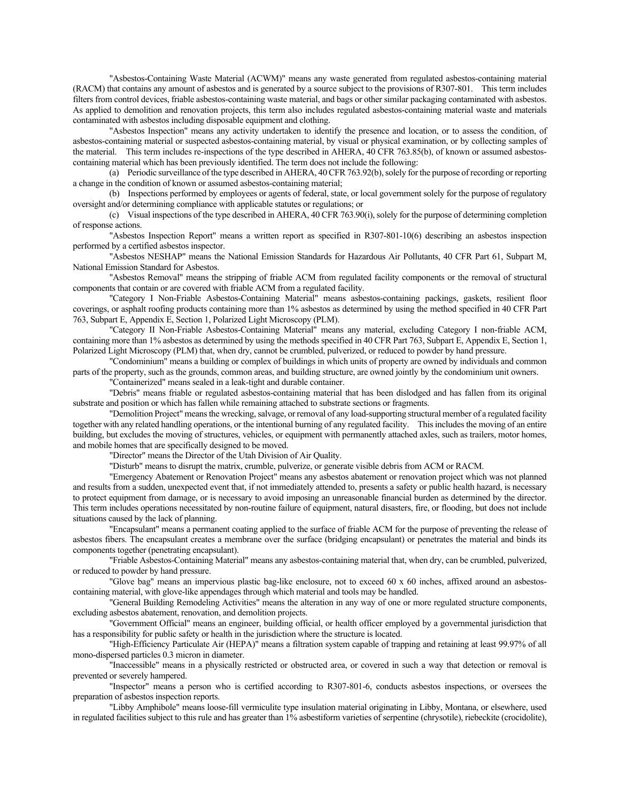"Asbestos-Containing Waste Material (ACWM)" means any waste generated from regulated asbestos-containing material (RACM) that contains any amount of asbestos and is generated by a source subject to the provisions of R307-801. This term includes filters from control devices, friable asbestos-containing waste material, and bags or other similar packaging contaminated with asbestos. As applied to demolition and renovation projects, this term also includes regulated asbestos-containing material waste and materials contaminated with asbestos including disposable equipment and clothing.

"Asbestos Inspection" means any activity undertaken to identify the presence and location, or to assess the condition, of asbestos-containing material or suspected asbestos-containing material, by visual or physical examination, or by collecting samples of the material. This term includes re-inspections of the type described in AHERA, 40 CFR 763.85(b), of known or assumed asbestoscontaining material which has been previously identified. The term does not include the following:

(a) Periodic surveillance of the type described in AHERA, 40 CFR 763.92(b), solely for the purpose of recording or reporting a change in the condition of known or assumed asbestos-containing material;

(b) Inspections performed by employees or agents of federal, state, or local government solely for the purpose of regulatory oversight and/or determining compliance with applicable statutes or regulations; or

(c) Visual inspections of the type described in AHERA, 40 CFR 763.90(i), solely for the purpose of determining completion of response actions.

"Asbestos Inspection Report" means a written report as specified in R307-801-10(6) describing an asbestos inspection performed by a certified asbestos inspector.

"Asbestos NESHAP" means the National Emission Standards for Hazardous Air Pollutants, 40 CFR Part 61, Subpart M, National Emission Standard for Asbestos.

"Asbestos Removal" means the stripping of friable ACM from regulated facility components or the removal of structural components that contain or are covered with friable ACM from a regulated facility.

"Category I Non-Friable Asbestos-Containing Material" means asbestos-containing packings, gaskets, resilient floor coverings, or asphalt roofing products containing more than 1% asbestos as determined by using the method specified in 40 CFR Part 763, Subpart E, Appendix E, Section 1, Polarized Light Microscopy (PLM).

"Category II Non-Friable Asbestos-Containing Material" means any material, excluding Category I non-friable ACM, containing more than 1% asbestos as determined by using the methods specified in 40 CFR Part 763, Subpart E, Appendix E, Section 1, Polarized Light Microscopy (PLM) that, when dry, cannot be crumbled, pulverized, or reduced to powder by hand pressure.

"Condominium" means a building or complex of buildings in which units of property are owned by individuals and common parts of the property, such as the grounds, common areas, and building structure, are owned jointly by the condominium unit owners.

"Containerized" means sealed in a leak-tight and durable container.

"Debris" means friable or regulated asbestos-containing material that has been dislodged and has fallen from its original substrate and position or which has fallen while remaining attached to substrate sections or fragments.

"Demolition Project" means the wrecking, salvage, or removal of any load-supporting structural member of a regulated facility together with any related handling operations, or the intentional burning of any regulated facility. This includes the moving of an entire building, but excludes the moving of structures, vehicles, or equipment with permanently attached axles, such as trailers, motor homes, and mobile homes that are specifically designed to be moved.

"Director" means the Director of the Utah Division of Air Quality.

"Disturb" means to disrupt the matrix, crumble, pulverize, or generate visible debris from ACM or RACM.

"Emergency Abatement or Renovation Project" means any asbestos abatement or renovation project which was not planned and results from a sudden, unexpected event that, if not immediately attended to, presents a safety or public health hazard, is necessary to protect equipment from damage, or is necessary to avoid imposing an unreasonable financial burden as determined by the director. This term includes operations necessitated by non-routine failure of equipment, natural disasters, fire, or flooding, but does not include situations caused by the lack of planning.

"Encapsulant" means a permanent coating applied to the surface of friable ACM for the purpose of preventing the release of asbestos fibers. The encapsulant creates a membrane over the surface (bridging encapsulant) or penetrates the material and binds its components together (penetrating encapsulant).

"Friable Asbestos-Containing Material" means any asbestos-containing material that, when dry, can be crumbled, pulverized, or reduced to powder by hand pressure.

"Glove bag" means an impervious plastic bag-like enclosure, not to exceed 60 x 60 inches, affixed around an asbestoscontaining material, with glove-like appendages through which material and tools may be handled.

"General Building Remodeling Activities" means the alteration in any way of one or more regulated structure components, excluding asbestos abatement, renovation, and demolition projects.

"Government Official" means an engineer, building official, or health officer employed by a governmental jurisdiction that has a responsibility for public safety or health in the jurisdiction where the structure is located.

"High-Efficiency Particulate Air (HEPA)" means a filtration system capable of trapping and retaining at least 99.97% of all mono-dispersed particles 0.3 micron in diameter.

"Inaccessible" means in a physically restricted or obstructed area, or covered in such a way that detection or removal is prevented or severely hampered.

"Inspector" means a person who is certified according to R307-801-6, conducts asbestos inspections, or oversees the preparation of asbestos inspection reports.

"Libby Amphibole" means loose-fill vermiculite type insulation material originating in Libby, Montana, or elsewhere, used in regulated facilities subject to this rule and has greater than 1% asbestiform varieties of serpentine (chrysotile), riebeckite (crocidolite),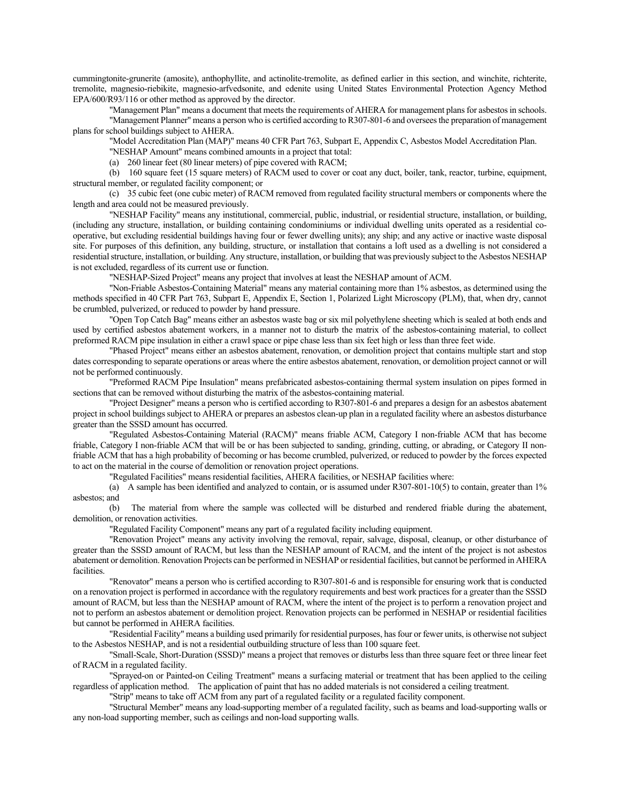cummingtonite-grunerite (amosite), anthophyllite, and actinolite-tremolite, as defined earlier in this section, and winchite, richterite, tremolite, magnesio-riebikite, magnesio-arfvedsonite, and edenite using United States Environmental Protection Agency Method EPA/600/R93/116 or other method as approved by the director.

"Management Plan" means a document that meets the requirements of AHERA for management plans for asbestos in schools.

"Management Planner" means a person who is certified according to R307-801-6 and oversees the preparation of management plans for school buildings subject to AHERA.

"Model Accreditation Plan (MAP)" means 40 CFR Part 763, Subpart E, Appendix C, Asbestos Model Accreditation Plan.

"NESHAP Amount" means combined amounts in a project that total:

(a) 260 linear feet (80 linear meters) of pipe covered with RACM;

(b) 160 square feet (15 square meters) of RACM used to cover or coat any duct, boiler, tank, reactor, turbine, equipment, structural member, or regulated facility component; or

(c) 35 cubic feet (one cubic meter) of RACM removed from regulated facility structural members or components where the length and area could not be measured previously.

"NESHAP Facility" means any institutional, commercial, public, industrial, or residential structure, installation, or building, (including any structure, installation, or building containing condominiums or individual dwelling units operated as a residential cooperative, but excluding residential buildings having four or fewer dwelling units); any ship; and any active or inactive waste disposal site. For purposes of this definition, any building, structure, or installation that contains a loft used as a dwelling is not considered a residential structure, installation, or building. Any structure, installation, or building that was previously subject to the Asbestos NESHAP is not excluded, regardless of its current use or function.

"NESHAP-Sized Project" means any project that involves at least the NESHAP amount of ACM.

"Non-Friable Asbestos-Containing Material" means any material containing more than 1% asbestos, as determined using the methods specified in 40 CFR Part 763, Subpart E, Appendix E, Section 1, Polarized Light Microscopy (PLM), that, when dry, cannot be crumbled, pulverized, or reduced to powder by hand pressure.

"Open Top Catch Bag" means either an asbestos waste bag or six mil polyethylene sheeting which is sealed at both ends and used by certified asbestos abatement workers, in a manner not to disturb the matrix of the asbestos-containing material, to collect preformed RACM pipe insulation in either a crawl space or pipe chase less than six feet high or less than three feet wide.

"Phased Project" means either an asbestos abatement, renovation, or demolition project that contains multiple start and stop dates corresponding to separate operations or areas where the entire asbestos abatement, renovation, or demolition project cannot or will not be performed continuously.

"Preformed RACM Pipe Insulation" means prefabricated asbestos-containing thermal system insulation on pipes formed in sections that can be removed without disturbing the matrix of the asbestos-containing material.

"Project Designer" means a person who is certified according to R307-801-6 and prepares a design for an asbestos abatement project in school buildings subject to AHERA or prepares an asbestos clean-up plan in a regulated facility where an asbestos disturbance greater than the SSSD amount has occurred.

"Regulated Asbestos-Containing Material (RACM)" means friable ACM, Category I non-friable ACM that has become friable, Category I non-friable ACM that will be or has been subjected to sanding, grinding, cutting, or abrading, or Category II nonfriable ACM that has a high probability of becoming or has become crumbled, pulverized, or reduced to powder by the forces expected to act on the material in the course of demolition or renovation project operations.

"Regulated Facilities" means residential facilities, AHERA facilities, or NESHAP facilities where:

(a) A sample has been identified and analyzed to contain, or is assumed under  $R307-801-10(5)$  to contain, greater than 1% asbestos; and

(b) The material from where the sample was collected will be disturbed and rendered friable during the abatement, demolition, or renovation activities.

"Regulated Facility Component" means any part of a regulated facility including equipment.

"Renovation Project" means any activity involving the removal, repair, salvage, disposal, cleanup, or other disturbance of greater than the SSSD amount of RACM, but less than the NESHAP amount of RACM, and the intent of the project is not asbestos abatement or demolition. Renovation Projects can be performed in NESHAP or residential facilities, but cannot be performed in AHERA facilities.

"Renovator" means a person who is certified according to R307-801-6 and is responsible for ensuring work that is conducted on a renovation project is performed in accordance with the regulatory requirements and best work practices for a greater than the SSSD amount of RACM, but less than the NESHAP amount of RACM, where the intent of the project is to perform a renovation project and not to perform an asbestos abatement or demolition project. Renovation projects can be performed in NESHAP or residential facilities but cannot be performed in AHERA facilities.

"Residential Facility" means a building used primarily for residential purposes, has four or fewer units, is otherwise not subject to the Asbestos NESHAP, and is not a residential outbuilding structure of less than 100 square feet.

"Small-Scale, Short-Duration (SSSD)" means a project that removes or disturbs less than three square feet or three linear feet of RACM in a regulated facility.

"Sprayed-on or Painted-on Ceiling Treatment" means a surfacing material or treatment that has been applied to the ceiling regardless of application method. The application of paint that has no added materials is not considered a ceiling treatment.

"Strip" means to take off ACM from any part of a regulated facility or a regulated facility component.

"Structural Member" means any load-supporting member of a regulated facility, such as beams and load-supporting walls or any non-load supporting member, such as ceilings and non-load supporting walls.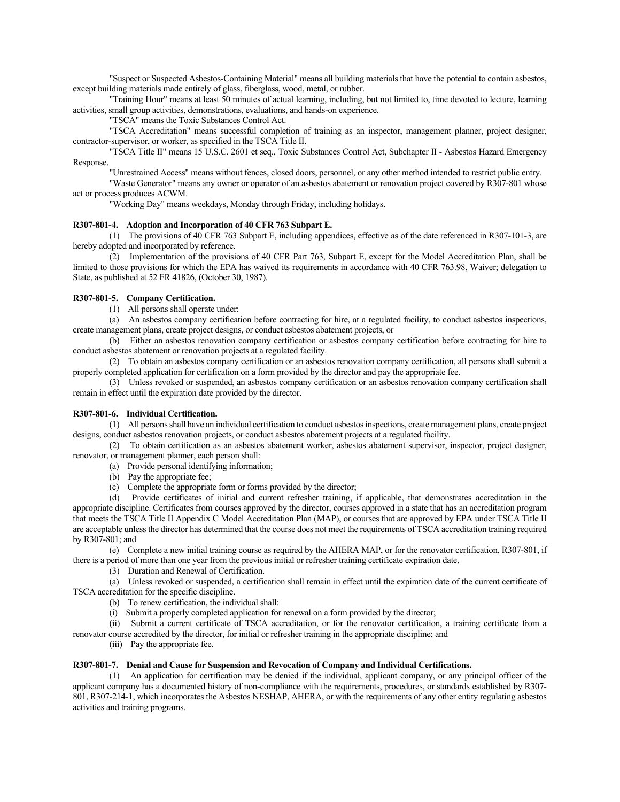"Suspect or Suspected Asbestos-Containing Material" means all building materials that have the potential to contain asbestos, except building materials made entirely of glass, fiberglass, wood, metal, or rubber.

"Training Hour" means at least 50 minutes of actual learning, including, but not limited to, time devoted to lecture, learning activities, small group activities, demonstrations, evaluations, and hands-on experience.

"TSCA" means the Toxic Substances Control Act.

"TSCA Accreditation" means successful completion of training as an inspector, management planner, project designer, contractor-supervisor, or worker, as specified in the TSCA Title II.

"TSCA Title II" means 15 U.S.C. 2601 et seq., Toxic Substances Control Act, Subchapter II - Asbestos Hazard Emergency Response.

"Unrestrained Access" means without fences, closed doors, personnel, or any other method intended to restrict public entry.

"Waste Generator" means any owner or operator of an asbestos abatement or renovation project covered by R307-801 whose act or process produces ACWM.

"Working Day" means weekdays, Monday through Friday, including holidays.

# **R307-801-4. Adoption and Incorporation of 40 CFR 763 Subpart E.**

(1) The provisions of 40 CFR 763 Subpart E, including appendices, effective as of the date referenced in R307-101-3, are hereby adopted and incorporated by reference.

(2) Implementation of the provisions of 40 CFR Part 763, Subpart E, except for the Model Accreditation Plan, shall be limited to those provisions for which the EPA has waived its requirements in accordance with 40 CFR 763.98, Waiver; delegation to State, as published at 52 FR 41826, (October 30, 1987).

# **R307-801-5. Company Certification.**

(1) All persons shall operate under:

(a) An asbestos company certification before contracting for hire, at a regulated facility, to conduct asbestos inspections, create management plans, create project designs, or conduct asbestos abatement projects, or

(b) Either an asbestos renovation company certification or asbestos company certification before contracting for hire to conduct asbestos abatement or renovation projects at a regulated facility.

(2) To obtain an asbestos company certification or an asbestos renovation company certification, all persons shall submit a properly completed application for certification on a form provided by the director and pay the appropriate fee.

(3) Unless revoked or suspended, an asbestos company certification or an asbestos renovation company certification shall remain in effect until the expiration date provided by the director.

# **R307-801-6. Individual Certification.**

(1) All persons shall have an individual certification to conduct asbestos inspections, create management plans, create project designs, conduct asbestos renovation projects, or conduct asbestos abatement projects at a regulated facility.

(2) To obtain certification as an asbestos abatement worker, asbestos abatement supervisor, inspector, project designer, renovator, or management planner, each person shall:

- (a) Provide personal identifying information;
- (b) Pay the appropriate fee;
- (c) Complete the appropriate form or forms provided by the director;

(d) Provide certificates of initial and current refresher training, if applicable, that demonstrates accreditation in the appropriate discipline. Certificates from courses approved by the director, courses approved in a state that has an accreditation program that meets the TSCA Title II Appendix C Model Accreditation Plan (MAP), or courses that are approved by EPA under TSCA Title II are acceptable unless the director has determined that the course does not meet the requirements of TSCA accreditation training required by R307-801; and

(e) Complete a new initial training course as required by the AHERA MAP, or for the renovator certification, R307-801, if there is a period of more than one year from the previous initial or refresher training certificate expiration date.

(3) Duration and Renewal of Certification.

(a) Unless revoked or suspended, a certification shall remain in effect until the expiration date of the current certificate of TSCA accreditation for the specific discipline.

- (b) To renew certification, the individual shall:
- (i) Submit a properly completed application for renewal on a form provided by the director;

(ii) Submit a current certificate of TSCA accreditation, or for the renovator certification, a training certificate from a

renovator course accredited by the director, for initial or refresher training in the appropriate discipline; and

(iii) Pay the appropriate fee.

## **R307-801-7. Denial and Cause for Suspension and Revocation of Company and Individual Certifications.**

(1) An application for certification may be denied if the individual, applicant company, or any principal officer of the applicant company has a documented history of non-compliance with the requirements, procedures, or standards established by R307- 801, R307-214-1, which incorporates the Asbestos NESHAP, AHERA, or with the requirements of any other entity regulating asbestos activities and training programs.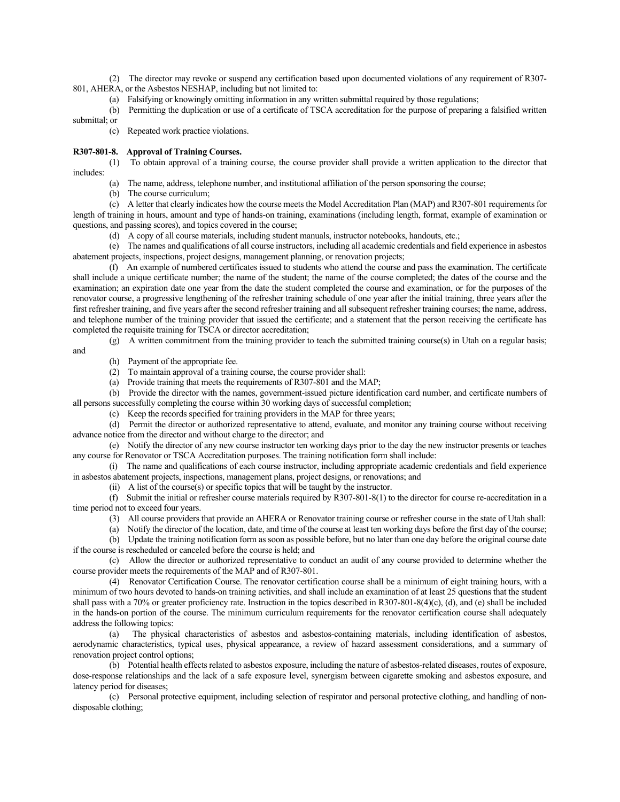(2) The director may revoke or suspend any certification based upon documented violations of any requirement of R307- 801, AHERA, or the Asbestos NESHAP, including but not limited to:

(a) Falsifying or knowingly omitting information in any written submittal required by those regulations;

(b) Permitting the duplication or use of a certificate of TSCA accreditation for the purpose of preparing a falsified written

submittal; or

(c) Repeated work practice violations.

## **R307-801-8. Approval of Training Courses.**

(1) To obtain approval of a training course, the course provider shall provide a written application to the director that includes:

(a) The name, address, telephone number, and institutional affiliation of the person sponsoring the course;

(b) The course curriculum;

(c) A letter that clearly indicates how the course meets the Model Accreditation Plan (MAP) and R307-801 requirements for length of training in hours, amount and type of hands-on training, examinations (including length, format, example of examination or questions, and passing scores), and topics covered in the course;

(d) A copy of all course materials, including student manuals, instructor notebooks, handouts, etc.;

(e) The names and qualifications of all course instructors, including all academic credentials and field experience in asbestos abatement projects, inspections, project designs, management planning, or renovation projects;

(f) An example of numbered certificates issued to students who attend the course and pass the examination. The certificate shall include a unique certificate number; the name of the student; the name of the course completed; the dates of the course and the examination; an expiration date one year from the date the student completed the course and examination, or for the purposes of the renovator course, a progressive lengthening of the refresher training schedule of one year after the initial training, three years after the first refresher training, and five years after the second refresher training and all subsequent refresher training courses; the name, address, and telephone number of the training provider that issued the certificate; and a statement that the person receiving the certificate has completed the requisite training for TSCA or director accreditation;

(g) A written commitment from the training provider to teach the submitted training course(s) in Utah on a regular basis; and

(h) Payment of the appropriate fee.

(2) To maintain approval of a training course, the course provider shall:

(a) Provide training that meets the requirements of R307-801 and the MAP;

(b) Provide the director with the names, government-issued picture identification card number, and certificate numbers of all persons successfully completing the course within 30 working days of successful completion;

(c) Keep the records specified for training providers in the MAP for three years;

(d) Permit the director or authorized representative to attend, evaluate, and monitor any training course without receiving advance notice from the director and without charge to the director; and

(e) Notify the director of any new course instructor ten working days prior to the day the new instructor presents or teaches any course for Renovator or TSCA Accreditation purposes. The training notification form shall include:

(i) The name and qualifications of each course instructor, including appropriate academic credentials and field experience in asbestos abatement projects, inspections, management plans, project designs, or renovations; and

(ii) A list of the course(s) or specific topics that will be taught by the instructor.

(f) Submit the initial or refresher course materials required by R307-801-8(1) to the director for course re-accreditation in a time period not to exceed four years.

(3) All course providers that provide an AHERA or Renovator training course or refresher course in the state of Utah shall:

(a) Notify the director of the location, date, and time of the course at least ten working days before the first day of the course;

(b) Update the training notification form as soon as possible before, but no later than one day before the original course date if the course is rescheduled or canceled before the course is held; and

(c) Allow the director or authorized representative to conduct an audit of any course provided to determine whether the course provider meets the requirements of the MAP and of R307-801.

(4) Renovator Certification Course. The renovator certification course shall be a minimum of eight training hours, with a minimum of two hours devoted to hands-on training activities, and shall include an examination of at least 25 questions that the student shall pass with a 70% or greater proficiency rate. Instruction in the topics described in R307-801-8(4)(c), (d), and (e) shall be included in the hands-on portion of the course. The minimum curriculum requirements for the renovator certification course shall adequately address the following topics:<br>(a) The physical

The physical characteristics of asbestos and asbestos-containing materials, including identification of asbestos, aerodynamic characteristics, typical uses, physical appearance, a review of hazard assessment considerations, and a summary of renovation project control options;

(b) Potential health effects related to asbestos exposure, including the nature of asbestos-related diseases, routes of exposure, dose-response relationships and the lack of a safe exposure level, synergism between cigarette smoking and asbestos exposure, and latency period for diseases;

(c) Personal protective equipment, including selection of respirator and personal protective clothing, and handling of nondisposable clothing;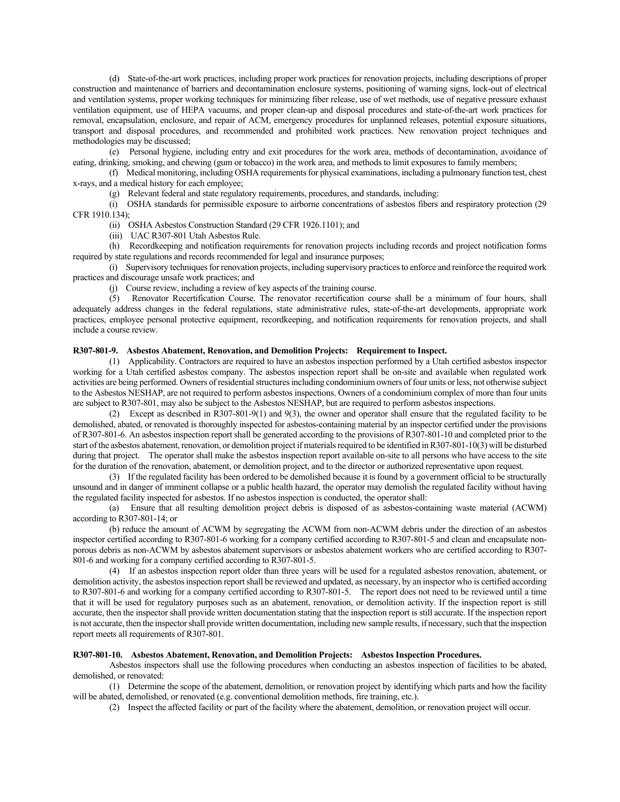(d) State-of-the-art work practices, including proper work practices for renovation projects, including descriptions of proper construction and maintenance of barriers and decontamination enclosure systems, positioning of warning signs, lock-out of electrical and ventilation systems, proper working techniques for minimizing fiber release, use of wet methods, use of negative pressure exhaust ventilation equipment, use of HEPA vacuums, and proper clean-up and disposal procedures and state-of-the-art work practices for removal, encapsulation, enclosure, and repair of ACM, emergency procedures for unplanned releases, potential exposure situations, transport and disposal procedures, and recommended and prohibited work practices. New renovation project techniques and methodologies may be discussed;

(e) Personal hygiene, including entry and exit procedures for the work area, methods of decontamination, avoidance of eating, drinking, smoking, and chewing (gum or tobacco) in the work area, and methods to limit exposures to family members;

(f) Medical monitoring, including OSHA requirements for physical examinations, including a pulmonary function test, chest x-rays, and a medical history for each employee;

(g) Relevant federal and state regulatory requirements, procedures, and standards, including:

(i) OSHA standards for permissible exposure to airborne concentrations of asbestos fibers and respiratory protection (29 CFR 1910.134);

(ii) OSHA Asbestos Construction Standard (29 CFR 1926.1101); and

(iii) UAC R307-801 Utah Asbestos Rule.

(h) Recordkeeping and notification requirements for renovation projects including records and project notification forms required by state regulations and records recommended for legal and insurance purposes;

(i) Supervisory techniques for renovation projects, including supervisory practices to enforce and reinforce the required work practices and discourage unsafe work practices; and

(j) Course review, including a review of key aspects of the training course.

(5) Renovator Recertification Course. The renovator recertification course shall be a minimum of four hours, shall adequately address changes in the federal regulations, state administrative rules, state-of-the-art developments, appropriate work practices, employee personal protective equipment, recordkeeping, and notification requirements for renovation projects, and shall include a course review.

## **R307-801-9. Asbestos Abatement, Renovation, and Demolition Projects: Requirement to Inspect.**

(1) Applicability. Contractors are required to have an asbestos inspection performed by a Utah certified asbestos inspector working for a Utah certified asbestos company. The asbestos inspection report shall be on-site and available when regulated work activities are being performed. Owners of residential structures including condominium owners of four units or less, not otherwise subject to the Asbestos NESHAP, are not required to perform asbestos inspections. Owners of a condominium complex of more than four units are subject to R307-801, may also be subject to the Asbestos NESHAP, but are required to perform asbestos inspections.

(2) Except as described in R307-801-9(1) and 9(3), the owner and operator shall ensure that the regulated facility to be demolished, abated, or renovated is thoroughly inspected for asbestos-containing material by an inspector certified under the provisions of R307-801-6. An asbestos inspection report shall be generated according to the provisions of R307-801-10 and completed prior to the start of the asbestos abatement, renovation, or demolition project if materials required to be identified in R307-801-10(3) will be disturbed during that project. The operator shall make the asbestos inspection report available on-site to all persons who have access to the site for the duration of the renovation, abatement, or demolition project, and to the director or authorized representative upon request.

(3) If the regulated facility has been ordered to be demolished because it is found by a government official to be structurally unsound and in danger of imminent collapse or a public health hazard, the operator may demolish the regulated facility without having the regulated facility inspected for asbestos. If no asbestos inspection is conducted, the operator shall:

(a) Ensure that all resulting demolition project debris is disposed of as asbestos-containing waste material (ACWM) according to R307-801-14; or

(b) reduce the amount of ACWM by segregating the ACWM from non-ACWM debris under the direction of an asbestos inspector certified according to R307-801-6 working for a company certified according to R307-801-5 and clean and encapsulate nonporous debris as non-ACWM by asbestos abatement supervisors or asbestos abatement workers who are certified according to R307- 801-6 and working for a company certified according to R307-801-5.

(4) If an asbestos inspection report older than three years will be used for a regulated asbestos renovation, abatement, or demolition activity, the asbestos inspection report shall be reviewed and updated, as necessary, by an inspector who is certified according to R307-801-6 and working for a company certified according to R307-801-5. The report does not need to be reviewed until a time that it will be used for regulatory purposes such as an abatement, renovation, or demolition activity. If the inspection report is still accurate, then the inspector shall provide written documentation stating that the inspection report is still accurate. If the inspection report is not accurate, then the inspector shall provide written documentation, including new sample results, if necessary, such that the inspection report meets all requirements of R307-801.

#### **R307-801-10. Asbestos Abatement, Renovation, and Demolition Projects: Asbestos Inspection Procedures.**

Asbestos inspectors shall use the following procedures when conducting an asbestos inspection of facilities to be abated, demolished, or renovated:

(1) Determine the scope of the abatement, demolition, or renovation project by identifying which parts and how the facility will be abated, demolished, or renovated (e.g. conventional demolition methods, fire training, etc.).

(2) Inspect the affected facility or part of the facility where the abatement, demolition, or renovation project will occur.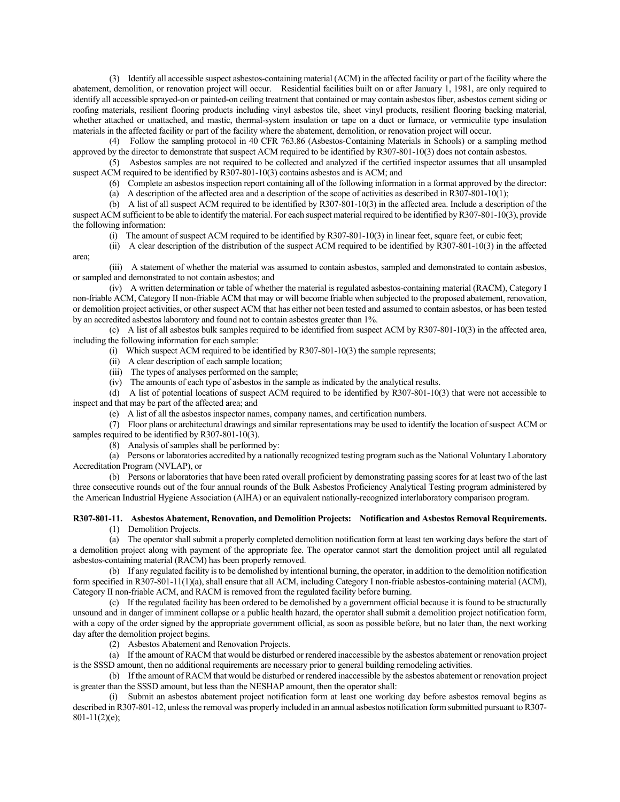(3) Identify all accessible suspect asbestos-containing material (ACM) in the affected facility or part of the facility where the abatement, demolition, or renovation project will occur. Residential facilities built on or after January 1, 1981, are only required to identify all accessible sprayed-on or painted-on ceiling treatment that contained or may contain asbestos fiber, asbestos cement siding or roofing materials, resilient flooring products including vinyl asbestos tile, sheet vinyl products, resilient flooring backing material, whether attached or unattached, and mastic, thermal-system insulation or tape on a duct or furnace, or vermiculite type insulation materials in the affected facility or part of the facility where the abatement, demolition, or renovation project will occur.

(4) Follow the sampling protocol in 40 CFR 763.86 (Asbestos-Containing Materials in Schools) or a sampling method approved by the director to demonstrate that suspect ACM required to be identified by R307-801-10(3) does not contain asbestos.

(5) Asbestos samples are not required to be collected and analyzed if the certified inspector assumes that all unsampled suspect ACM required to be identified by R307-801-10(3) contains asbestos and is ACM; and

(6) Complete an asbestos inspection report containing all of the following information in a format approved by the director:

(a) A description of the affected area and a description of the scope of activities as described in R307-801-10(1);

(b) A list of all suspect ACM required to be identified by R307-801-10(3) in the affected area. Include a description of the suspect ACM sufficient to be able to identify the material. For each suspect material required to be identified by R307-801-10(3), provide the following information:

(i) The amount of suspect ACM required to be identified by R307-801-10(3) in linear feet, square feet, or cubic feet;

(ii) A clear description of the distribution of the suspect ACM required to be identified by R307-801-10(3) in the affected area;

(iii) A statement of whether the material was assumed to contain asbestos, sampled and demonstrated to contain asbestos, or sampled and demonstrated to not contain asbestos; and

(iv) A written determination or table of whether the material is regulated asbestos-containing material (RACM), Category I non-friable ACM, Category II non-friable ACM that may or will become friable when subjected to the proposed abatement, renovation, or demolition project activities, or other suspect ACM that has either not been tested and assumed to contain asbestos, or has been tested by an accredited asbestos laboratory and found not to contain asbestos greater than 1%.

(c) A list of all asbestos bulk samples required to be identified from suspect ACM by R307-801-10(3) in the affected area, including the following information for each sample:

(i) Which suspect ACM required to be identified by R307-801-10(3) the sample represents;

(ii) A clear description of each sample location;

(iii) The types of analyses performed on the sample;

(iv) The amounts of each type of asbestos in the sample as indicated by the analytical results.

(d) A list of potential locations of suspect ACM required to be identified by R307-801-10(3) that were not accessible to inspect and that may be part of the affected area; and

(e) A list of all the asbestos inspector names, company names, and certification numbers.

(7) Floor plans or architectural drawings and similar representations may be used to identify the location of suspect ACM or samples required to be identified by R307-801-10(3).

(8) Analysis of samples shall be performed by:

(a) Persons or laboratories accredited by a nationally recognized testing program such as the National Voluntary Laboratory Accreditation Program (NVLAP), or

(b) Persons or laboratories that have been rated overall proficient by demonstrating passing scores for at least two of the last three consecutive rounds out of the four annual rounds of the Bulk Asbestos Proficiency Analytical Testing program administered by the American Industrial Hygiene Association (AIHA) or an equivalent nationally-recognized interlaboratory comparison program.

#### **R307-801-11. Asbestos Abatement, Renovation, and Demolition Projects: Notification and Asbestos Removal Requirements.** (1) Demolition Projects.

(a) The operator shall submit a properly completed demolition notification form at least ten working days before the start of a demolition project along with payment of the appropriate fee. The operator cannot start the demolition project until all regulated asbestos-containing material (RACM) has been properly removed.

(b) If any regulated facility is to be demolished by intentional burning, the operator, in addition to the demolition notification form specified in R307-801-11(1)(a), shall ensure that all ACM, including Category I non-friable asbestos-containing material (ACM), Category II non-friable ACM, and RACM is removed from the regulated facility before burning.

(c) If the regulated facility has been ordered to be demolished by a government official because it is found to be structurally unsound and in danger of imminent collapse or a public health hazard, the operator shall submit a demolition project notification form, with a copy of the order signed by the appropriate government official, as soon as possible before, but no later than, the next working day after the demolition project begins.

(2) Asbestos Abatement and Renovation Projects.

(a) If the amount of RACM that would be disturbed or rendered inaccessible by the asbestos abatement or renovation project is the SSSD amount, then no additional requirements are necessary prior to general building remodeling activities.

(b) If the amount of RACM that would be disturbed or rendered inaccessible by the asbestos abatement or renovation project is greater than the SSSD amount, but less than the NESHAP amount, then the operator shall:

(i) Submit an asbestos abatement project notification form at least one working day before asbestos removal begins as described in R307-801-12, unless the removal was properly included in an annual asbestos notification form submitted pursuant to R307- 801-11(2)(e);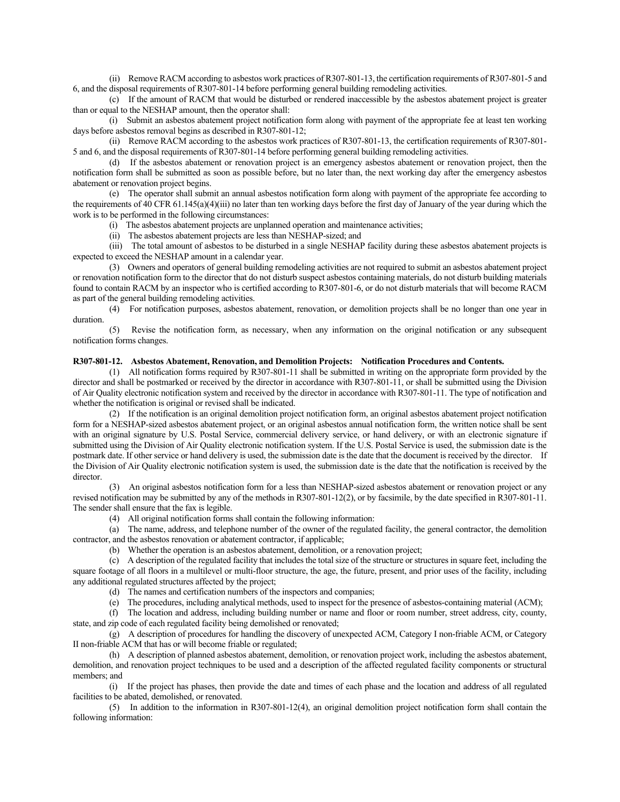(ii) Remove RACM according to asbestos work practices of R307-801-13, the certification requirements of R307-801-5 and 6, and the disposal requirements of R307-801-14 before performing general building remodeling activities.

(c) If the amount of RACM that would be disturbed or rendered inaccessible by the asbestos abatement project is greater than or equal to the NESHAP amount, then the operator shall:

(i) Submit an asbestos abatement project notification form along with payment of the appropriate fee at least ten working days before asbestos removal begins as described in R307-801-12;

(ii) Remove RACM according to the asbestos work practices of R307-801-13, the certification requirements of R307-801- 5 and 6, and the disposal requirements of R307-801-14 before performing general building remodeling activities.

(d) If the asbestos abatement or renovation project is an emergency asbestos abatement or renovation project, then the notification form shall be submitted as soon as possible before, but no later than, the next working day after the emergency asbestos abatement or renovation project begins.

(e) The operator shall submit an annual asbestos notification form along with payment of the appropriate fee according to the requirements of 40 CFR 61.145(a)(4)(iii) no later than ten working days before the first day of January of the year during which the work is to be performed in the following circumstances:

(i) The asbestos abatement projects are unplanned operation and maintenance activities;

(ii) The asbestos abatement projects are less than NESHAP-sized; and

(iii) The total amount of asbestos to be disturbed in a single NESHAP facility during these asbestos abatement projects is expected to exceed the NESHAP amount in a calendar year.

(3) Owners and operators of general building remodeling activities are not required to submit an asbestos abatement project or renovation notification form to the director that do not disturb suspect asbestos containing materials, do not disturb building materials found to contain RACM by an inspector who is certified according to R307-801-6, or do not disturb materials that will become RACM as part of the general building remodeling activities.

(4) For notification purposes, asbestos abatement, renovation, or demolition projects shall be no longer than one year in duration.

(5) Revise the notification form, as necessary, when any information on the original notification or any subsequent notification forms changes.

# **R307-801-12. Asbestos Abatement, Renovation, and Demolition Projects: Notification Procedures and Contents.**

(1) All notification forms required by R307-801-11 shall be submitted in writing on the appropriate form provided by the director and shall be postmarked or received by the director in accordance with R307-801-11, or shall be submitted using the Division of Air Quality electronic notification system and received by the director in accordance with R307-801-11. The type of notification and whether the notification is original or revised shall be indicated.

(2) If the notification is an original demolition project notification form, an original asbestos abatement project notification form for a NESHAP-sized asbestos abatement project, or an original asbestos annual notification form, the written notice shall be sent with an original signature by U.S. Postal Service, commercial delivery service, or hand delivery, or with an electronic signature if submitted using the Division of Air Quality electronic notification system. If the U.S. Postal Service is used, the submission date is the postmark date. If other service or hand delivery is used, the submission date is the date that the document is received by the director. If the Division of Air Quality electronic notification system is used, the submission date is the date that the notification is received by the director.

(3) An original asbestos notification form for a less than NESHAP-sized asbestos abatement or renovation project or any revised notification may be submitted by any of the methods in R307-801-12(2), or by facsimile, by the date specified in R307-801-11. The sender shall ensure that the fax is legible.

(4) All original notification forms shall contain the following information:

(a) The name, address, and telephone number of the owner of the regulated facility, the general contractor, the demolition contractor, and the asbestos renovation or abatement contractor, if applicable;

(b) Whether the operation is an asbestos abatement, demolition, or a renovation project;

(c) A description of the regulated facility that includes the total size of the structure or structures in square feet, including the square footage of all floors in a multilevel or multi-floor structure, the age, the future, present, and prior uses of the facility, including any additional regulated structures affected by the project;

(d) The names and certification numbers of the inspectors and companies;

(e) The procedures, including analytical methods, used to inspect for the presence of asbestos-containing material (ACM);

(f) The location and address, including building number or name and floor or room number, street address, city, county, state, and zip code of each regulated facility being demolished or renovated;

(g) A description of procedures for handling the discovery of unexpected ACM, Category I non-friable ACM, or Category II non-friable ACM that has or will become friable or regulated;

(h) A description of planned asbestos abatement, demolition, or renovation project work, including the asbestos abatement, demolition, and renovation project techniques to be used and a description of the affected regulated facility components or structural members; and

(i) If the project has phases, then provide the date and times of each phase and the location and address of all regulated facilities to be abated, demolished, or renovated.

(5) In addition to the information in R307-801-12(4), an original demolition project notification form shall contain the following information: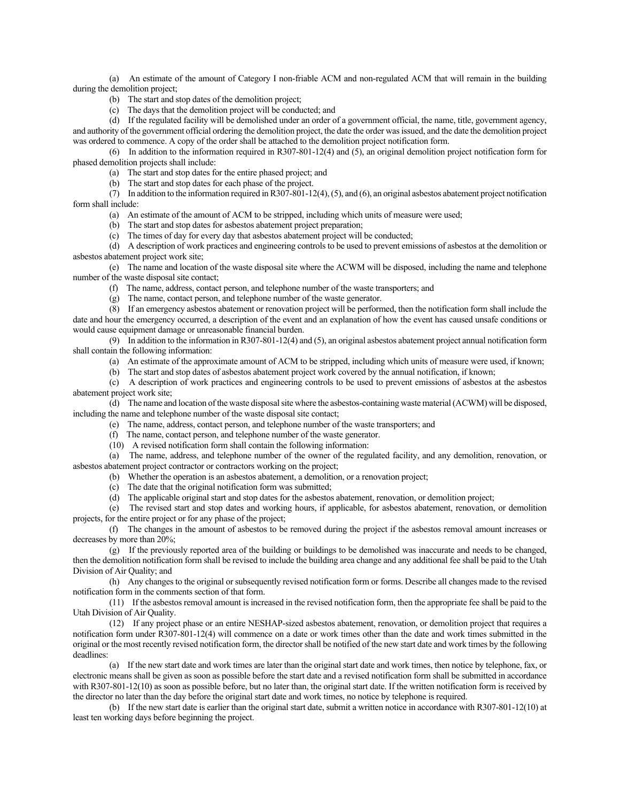(a) An estimate of the amount of Category I non-friable ACM and non-regulated ACM that will remain in the building during the demolition project;

- (b) The start and stop dates of the demolition project;
- (c) The days that the demolition project will be conducted; and

(d) If the regulated facility will be demolished under an order of a government official, the name, title, government agency, and authority of the government official ordering the demolition project, the date the order was issued, and the date the demolition project was ordered to commence. A copy of the order shall be attached to the demolition project notification form.

(6) In addition to the information required in R307-801-12(4) and (5), an original demolition project notification form for phased demolition projects shall include:

(a) The start and stop dates for the entire phased project; and

(b) The start and stop dates for each phase of the project.

(7) In addition to the information required in R307-801-12(4), (5), and (6), an original asbestos abatement project notification form shall include:

- (a) An estimate of the amount of ACM to be stripped, including which units of measure were used;
- (b) The start and stop dates for asbestos abatement project preparation;
- (c) The times of day for every day that asbestos abatement project will be conducted;

(d) A description of work practices and engineering controls to be used to prevent emissions of asbestos at the demolition or asbestos abatement project work site;

(e) The name and location of the waste disposal site where the ACWM will be disposed, including the name and telephone number of the waste disposal site contact;

- (f) The name, address, contact person, and telephone number of the waste transporters; and
- (g) The name, contact person, and telephone number of the waste generator.

(8) If an emergency asbestos abatement or renovation project will be performed, then the notification form shall include the date and hour the emergency occurred, a description of the event and an explanation of how the event has caused unsafe conditions or would cause equipment damage or unreasonable financial burden.

(9) In addition to the information in R307-801-12(4) and (5), an original asbestos abatement project annual notification form shall contain the following information:

- (a) An estimate of the approximate amount of ACM to be stripped, including which units of measure were used, if known;
- (b) The start and stop dates of asbestos abatement project work covered by the annual notification, if known;

(c) A description of work practices and engineering controls to be used to prevent emissions of asbestos at the asbestos abatement project work site;

(d) The name and location of the waste disposal site where the asbestos-containing waste material (ACWM) will be disposed, including the name and telephone number of the waste disposal site contact;

- (e) The name, address, contact person, and telephone number of the waste transporters; and
- (f) The name, contact person, and telephone number of the waste generator.

(10) A revised notification form shall contain the following information:

(a) The name, address, and telephone number of the owner of the regulated facility, and any demolition, renovation, or asbestos abatement project contractor or contractors working on the project;

(b) Whether the operation is an asbestos abatement, a demolition, or a renovation project;

- (c) The date that the original notification form was submitted;
- (d) The applicable original start and stop dates for the asbestos abatement, renovation, or demolition project;

(e) The revised start and stop dates and working hours, if applicable, for asbestos abatement, renovation, or demolition projects, for the entire project or for any phase of the project;

(f) The changes in the amount of asbestos to be removed during the project if the asbestos removal amount increases or decreases by more than 20%;

(g) If the previously reported area of the building or buildings to be demolished was inaccurate and needs to be changed, then the demolition notification form shall be revised to include the building area change and any additional fee shall be paid to the Utah Division of Air Quality; and

(h) Any changes to the original or subsequently revised notification form or forms. Describe all changes made to the revised notification form in the comments section of that form.

(11) If the asbestos removal amount is increased in the revised notification form, then the appropriate fee shall be paid to the Utah Division of Air Quality.

(12) If any project phase or an entire NESHAP-sized asbestos abatement, renovation, or demolition project that requires a notification form under R307-801-12(4) will commence on a date or work times other than the date and work times submitted in the original or the most recently revised notification form, the director shall be notified of the new start date and work times by the following deadlines:

(a) If the new start date and work times are later than the original start date and work times, then notice by telephone, fax, or electronic means shall be given as soon as possible before the start date and a revised notification form shall be submitted in accordance with R307-801-12(10) as soon as possible before, but no later than, the original start date. If the written notification form is received by the director no later than the day before the original start date and work times, no notice by telephone is required.

(b) If the new start date is earlier than the original start date, submit a written notice in accordance with R307-801-12(10) at least ten working days before beginning the project.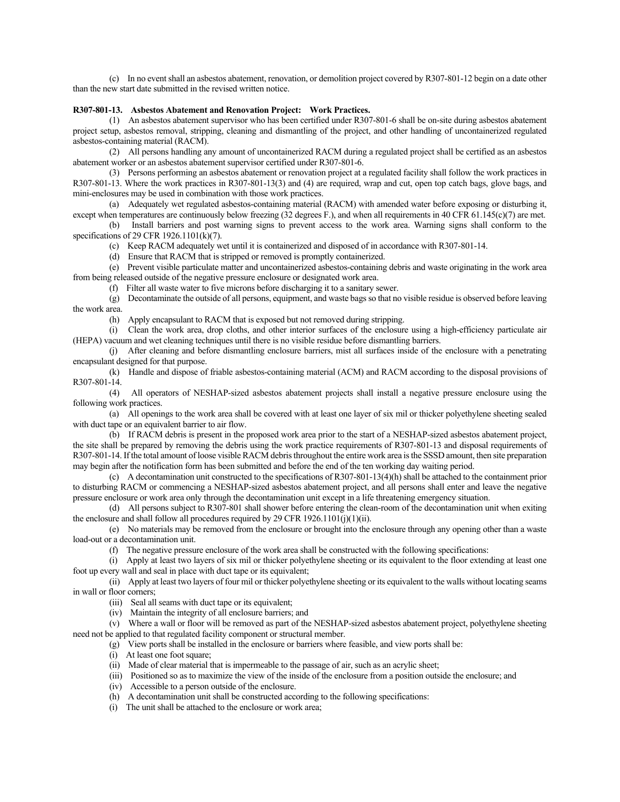(c) In no event shall an asbestos abatement, renovation, or demolition project covered by R307-801-12 begin on a date other than the new start date submitted in the revised written notice.

## **R307-801-13. Asbestos Abatement and Renovation Project: Work Practices.**

(1) An asbestos abatement supervisor who has been certified under R307-801-6 shall be on-site during asbestos abatement project setup, asbestos removal, stripping, cleaning and dismantling of the project, and other handling of uncontainerized regulated asbestos-containing material (RACM).

(2) All persons handling any amount of uncontainerized RACM during a regulated project shall be certified as an asbestos abatement worker or an asbestos abatement supervisor certified under R307-801-6.

(3) Persons performing an asbestos abatement or renovation project at a regulated facility shall follow the work practices in R307-801-13. Where the work practices in R307-801-13(3) and (4) are required, wrap and cut, open top catch bags, glove bags, and mini-enclosures may be used in combination with those work practices.

(a) Adequately wet regulated asbestos-containing material (RACM) with amended water before exposing or disturbing it, except when temperatures are continuously below freezing (32 degrees F.), and when all requirements in 40 CFR 61.145(c)(7) are met.

(b) Install barriers and post warning signs to prevent access to the work area. Warning signs shall conform to the specifications of 29 CFR 1926.1101(k)(7).

(c) Keep RACM adequately wet until it is containerized and disposed of in accordance with R307-801-14.

(d) Ensure that RACM that is stripped or removed is promptly containerized.

(e) Prevent visible particulate matter and uncontainerized asbestos-containing debris and waste originating in the work area from being released outside of the negative pressure enclosure or designated work area.

(f) Filter all waste water to five microns before discharging it to a sanitary sewer.

(g) Decontaminate the outside of all persons, equipment, and waste bags so that no visible residue is observed before leaving the work area.

(h) Apply encapsulant to RACM that is exposed but not removed during stripping.

(i) Clean the work area, drop cloths, and other interior surfaces of the enclosure using a high-efficiency particulate air (HEPA) vacuum and wet cleaning techniques until there is no visible residue before dismantling barriers.

(j) After cleaning and before dismantling enclosure barriers, mist all surfaces inside of the enclosure with a penetrating encapsulant designed for that purpose.

(k) Handle and dispose of friable asbestos-containing material (ACM) and RACM according to the disposal provisions of R307-801-14.

(4) All operators of NESHAP-sized asbestos abatement projects shall install a negative pressure enclosure using the following work practices.

(a) All openings to the work area shall be covered with at least one layer of six mil or thicker polyethylene sheeting sealed with duct tape or an equivalent barrier to air flow.

(b) If RACM debris is present in the proposed work area prior to the start of a NESHAP-sized asbestos abatement project, the site shall be prepared by removing the debris using the work practice requirements of R307-801-13 and disposal requirements of R307-801-14. If the total amount of loose visible RACM debris throughout the entire work area is the SSSD amount, then site preparation may begin after the notification form has been submitted and before the end of the ten working day waiting period.

(c) A decontamination unit constructed to the specifications of R307-801-13(4)(h) shall be attached to the containment prior to disturbing RACM or commencing a NESHAP-sized asbestos abatement project, and all persons shall enter and leave the negative pressure enclosure or work area only through the decontamination unit except in a life threatening emergency situation.

(d) All persons subject to R307-801 shall shower before entering the clean-room of the decontamination unit when exiting the enclosure and shall follow all procedures required by 29 CFR 1926.1101(j)(1)(ii).

(e) No materials may be removed from the enclosure or brought into the enclosure through any opening other than a waste load-out or a decontamination unit.

(f) The negative pressure enclosure of the work area shall be constructed with the following specifications:

(i) Apply at least two layers of six mil or thicker polyethylene sheeting or its equivalent to the floor extending at least one foot up every wall and seal in place with duct tape or its equivalent;

(ii) Apply at least two layers of four mil or thicker polyethylene sheeting or its equivalent to the walls without locating seams in wall or floor corners;

(iii) Seal all seams with duct tape or its equivalent;

(iv) Maintain the integrity of all enclosure barriers; and

(v) Where a wall or floor will be removed as part of the NESHAP-sized asbestos abatement project, polyethylene sheeting need not be applied to that regulated facility component or structural member.

(g) View ports shall be installed in the enclosure or barriers where feasible, and view ports shall be:

(i) At least one foot square;

(ii) Made of clear material that is impermeable to the passage of air, such as an acrylic sheet;

(iii) Positioned so as to maximize the view of the inside of the enclosure from a position outside the enclosure; and

(iv) Accessible to a person outside of the enclosure.

(h) A decontamination unit shall be constructed according to the following specifications:

(i) The unit shall be attached to the enclosure or work area;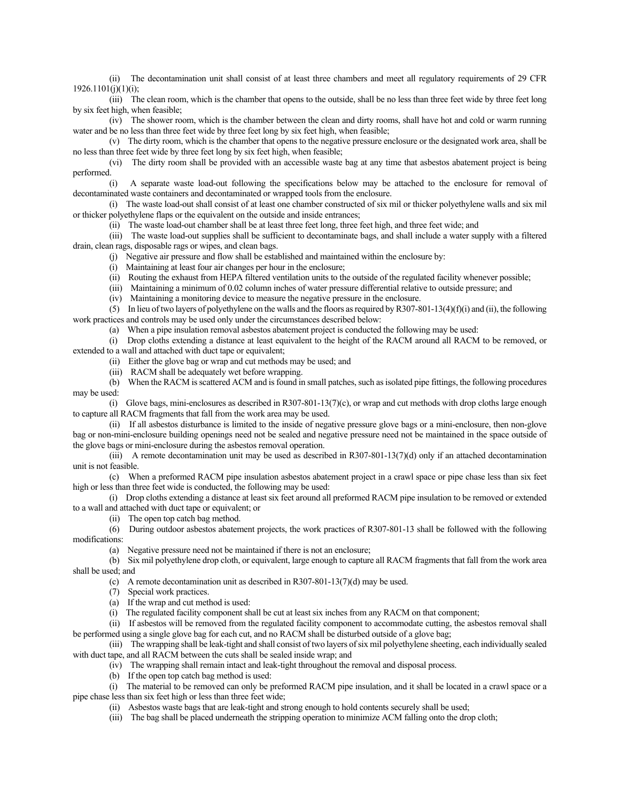(ii) The decontamination unit shall consist of at least three chambers and meet all regulatory requirements of 29 CFR  $1926.1101(i)(1)(i);$ 

(iii) The clean room, which is the chamber that opens to the outside, shall be no less than three feet wide by three feet long by six feet high, when feasible;

(iv) The shower room, which is the chamber between the clean and dirty rooms, shall have hot and cold or warm running water and be no less than three feet wide by three feet long by six feet high, when feasible;

(v) The dirty room, which is the chamber that opens to the negative pressure enclosure or the designated work area, shall be no less than three feet wide by three feet long by six feet high, when feasible;

(vi) The dirty room shall be provided with an accessible waste bag at any time that asbestos abatement project is being performed.

(i) A separate waste load-out following the specifications below may be attached to the enclosure for removal of decontaminated waste containers and decontaminated or wrapped tools from the enclosure.

(i) The waste load-out shall consist of at least one chamber constructed of six mil or thicker polyethylene walls and six mil or thicker polyethylene flaps or the equivalent on the outside and inside entrances;

(ii) The waste load-out chamber shall be at least three feet long, three feet high, and three feet wide; and

(iii) The waste load-out supplies shall be sufficient to decontaminate bags, and shall include a water supply with a filtered drain, clean rags, disposable rags or wipes, and clean bags.

(j) Negative air pressure and flow shall be established and maintained within the enclosure by:

(i) Maintaining at least four air changes per hour in the enclosure;

(ii) Routing the exhaust from HEPA filtered ventilation units to the outside of the regulated facility whenever possible;

(iii) Maintaining a minimum of 0.02 column inches of water pressure differential relative to outside pressure; and

(iv) Maintaining a monitoring device to measure the negative pressure in the enclosure.

(5) In lieu of two layers of polyethylene on the walls and the floors as required by R307-801-13(4)(f)(i) and (ii), the following work practices and controls may be used only under the circumstances described below:

(a) When a pipe insulation removal asbestos abatement project is conducted the following may be used:

(i) Drop cloths extending a distance at least equivalent to the height of the RACM around all RACM to be removed, or extended to a wall and attached with duct tape or equivalent;

(ii) Either the glove bag or wrap and cut methods may be used; and

(iii) RACM shall be adequately wet before wrapping.

(b) When the RACM is scattered ACM and is found in small patches, such as isolated pipe fittings, the following procedures may be used:

(i) Glove bags, mini-enclosures as described in R307-801-13(7)(c), or wrap and cut methods with drop cloths large enough to capture all RACM fragments that fall from the work area may be used.

(ii) If all asbestos disturbance is limited to the inside of negative pressure glove bags or a mini-enclosure, then non-glove bag or non-mini-enclosure building openings need not be sealed and negative pressure need not be maintained in the space outside of the glove bags or mini-enclosure during the asbestos removal operation.

(iii) A remote decontamination unit may be used as described in  $R307-801-13(7)(d)$  only if an attached decontamination unit is not feasible.

(c) When a preformed RACM pipe insulation asbestos abatement project in a crawl space or pipe chase less than six feet high or less than three feet wide is conducted, the following may be used:

(i) Drop cloths extending a distance at least six feet around all preformed RACM pipe insulation to be removed or extended to a wall and attached with duct tape or equivalent; or

(ii) The open top catch bag method.

(6) During outdoor asbestos abatement projects, the work practices of R307-801-13 shall be followed with the following modifications:

(a) Negative pressure need not be maintained if there is not an enclosure;

(b) Six mil polyethylene drop cloth, or equivalent, large enough to capture all RACM fragments that fall from the work area shall be used; and

(c) A remote decontamination unit as described in R307-801-13(7)(d) may be used.

(7) Special work practices.

(a) If the wrap and cut method is used:

(i) The regulated facility component shall be cut at least six inches from any RACM on that component;

(ii) If asbestos will be removed from the regulated facility component to accommodate cutting, the asbestos removal shall be performed using a single glove bag for each cut, and no RACM shall be disturbed outside of a glove bag;

(iii) The wrapping shall be leak-tight and shall consist of two layers of six mil polyethylene sheeting, each individually sealed with duct tape, and all RACM between the cuts shall be sealed inside wrap; and

(iv) The wrapping shall remain intact and leak-tight throughout the removal and disposal process.

(b) If the open top catch bag method is used:

(i) The material to be removed can only be preformed RACM pipe insulation, and it shall be located in a crawl space or a pipe chase less than six feet high or less than three feet wide;

(ii) Asbestos waste bags that are leak-tight and strong enough to hold contents securely shall be used;

(iii) The bag shall be placed underneath the stripping operation to minimize ACM falling onto the drop cloth;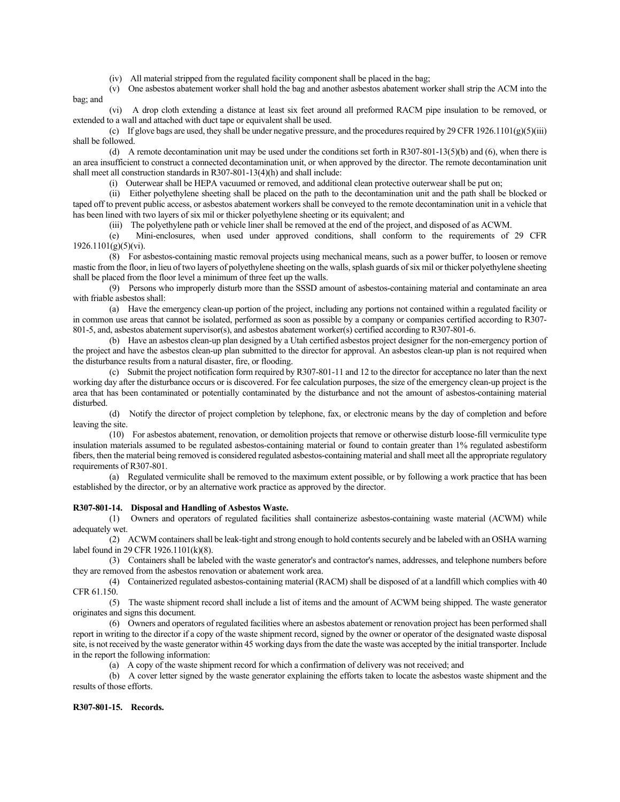(iv) All material stripped from the regulated facility component shall be placed in the bag;

(v) One asbestos abatement worker shall hold the bag and another asbestos abatement worker shall strip the ACM into the bag; and

(vi) A drop cloth extending a distance at least six feet around all preformed RACM pipe insulation to be removed, or extended to a wall and attached with duct tape or equivalent shall be used.

(c) If glove bags are used, they shall be under negative pressure, and the procedures required by 29 CFR 1926.1101(g)(5)(iii) shall be followed.

(d) A remote decontamination unit may be used under the conditions set forth in R307-801-13(5)(b) and (6), when there is an area insufficient to construct a connected decontamination unit, or when approved by the director. The remote decontamination unit shall meet all construction standards in R307-801-13(4)(h) and shall include:

(i) Outerwear shall be HEPA vacuumed or removed, and additional clean protective outerwear shall be put on;

(ii) Either polyethylene sheeting shall be placed on the path to the decontamination unit and the path shall be blocked or taped off to prevent public access, or asbestos abatement workers shall be conveyed to the remote decontamination unit in a vehicle that has been lined with two layers of six mil or thicker polyethylene sheeting or its equivalent; and

(iii) The polyethylene path or vehicle liner shall be removed at the end of the project, and disposed of as ACWM.

(e) Mini-enclosures, when used under approved conditions, shall conform to the requirements of 29 CFR  $1926.1101(g)(5)(vi)$ .

(8) For asbestos-containing mastic removal projects using mechanical means, such as a power buffer, to loosen or remove mastic from the floor, in lieu of two layers of polyethylene sheeting on the walls, splash guards of six mil or thicker polyethylene sheeting shall be placed from the floor level a minimum of three feet up the walls.

(9) Persons who improperly disturb more than the SSSD amount of asbestos-containing material and contaminate an area with friable asbestos shall:

(a) Have the emergency clean-up portion of the project, including any portions not contained within a regulated facility or in common use areas that cannot be isolated, performed as soon as possible by a company or companies certified according to R307- 801-5, and, asbestos abatement supervisor(s), and asbestos abatement worker(s) certified according to R307-801-6.

(b) Have an asbestos clean-up plan designed by a Utah certified asbestos project designer for the non-emergency portion of the project and have the asbestos clean-up plan submitted to the director for approval. An asbestos clean-up plan is not required when the disturbance results from a natural disaster, fire, or flooding.

(c) Submit the project notification form required by R307-801-11 and 12 to the director for acceptance no later than the next working day after the disturbance occurs or is discovered. For fee calculation purposes, the size of the emergency clean-up project is the area that has been contaminated or potentially contaminated by the disturbance and not the amount of asbestos-containing material disturbed.

(d) Notify the director of project completion by telephone, fax, or electronic means by the day of completion and before leaving the site.

(10) For asbestos abatement, renovation, or demolition projects that remove or otherwise disturb loose-fill vermiculite type insulation materials assumed to be regulated asbestos-containing material or found to contain greater than 1% regulated asbestiform fibers, then the material being removed is considered regulated asbestos-containing material and shall meet all the appropriate regulatory requirements of R307-801.

(a) Regulated vermiculite shall be removed to the maximum extent possible, or by following a work practice that has been established by the director, or by an alternative work practice as approved by the director.

## **R307-801-14. Disposal and Handling of Asbestos Waste.**

(1) Owners and operators of regulated facilities shall containerize asbestos-containing waste material (ACWM) while adequately wet.

(2) ACWM containers shall be leak-tight and strong enough to hold contents securely and be labeled with an OSHA warning label found in 29 CFR 1926.1101(k)(8).

(3) Containers shall be labeled with the waste generator's and contractor's names, addresses, and telephone numbers before they are removed from the asbestos renovation or abatement work area.

(4) Containerized regulated asbestos-containing material (RACM) shall be disposed of at a landfill which complies with 40 CFR 61.150.

(5) The waste shipment record shall include a list of items and the amount of ACWM being shipped. The waste generator originates and signs this document.

(6) Owners and operators of regulated facilities where an asbestos abatement or renovation project has been performed shall report in writing to the director if a copy of the waste shipment record, signed by the owner or operator of the designated waste disposal site, is not received by the waste generator within 45 working days from the date the waste was accepted by the initial transporter. Include in the report the following information:

(a) A copy of the waste shipment record for which a confirmation of delivery was not received; and

(b) A cover letter signed by the waste generator explaining the efforts taken to locate the asbestos waste shipment and the results of those efforts.

## **R307-801-15. Records.**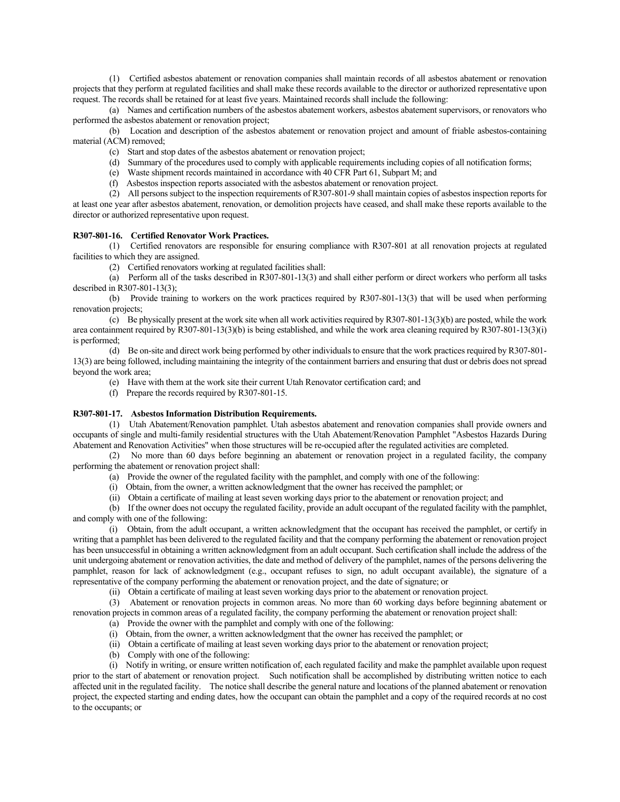(1) Certified asbestos abatement or renovation companies shall maintain records of all asbestos abatement or renovation projects that they perform at regulated facilities and shall make these records available to the director or authorized representative upon request. The records shall be retained for at least five years. Maintained records shall include the following:

(a) Names and certification numbers of the asbestos abatement workers, asbestos abatement supervisors, or renovators who performed the asbestos abatement or renovation project;

(b) Location and description of the asbestos abatement or renovation project and amount of friable asbestos-containing material (ACM) removed;

- (c) Start and stop dates of the asbestos abatement or renovation project;
- (d) Summary of the procedures used to comply with applicable requirements including copies of all notification forms;
- (e) Waste shipment records maintained in accordance with 40 CFR Part 61, Subpart M; and
- (f) Asbestos inspection reports associated with the asbestos abatement or renovation project.

(2) All persons subject to the inspection requirements of R307-801-9 shall maintain copies of asbestos inspection reports for at least one year after asbestos abatement, renovation, or demolition projects have ceased, and shall make these reports available to the director or authorized representative upon request.

## **R307-801-16. Certified Renovator Work Practices.**

(1) Certified renovators are responsible for ensuring compliance with R307-801 at all renovation projects at regulated facilities to which they are assigned.

(2) Certified renovators working at regulated facilities shall:

(a) Perform all of the tasks described in R307-801-13(3) and shall either perform or direct workers who perform all tasks described in R307-801-13(3);

(b) Provide training to workers on the work practices required by R307-801-13(3) that will be used when performing renovation projects;

 $(c)$  Be physically present at the work site when all work activities required by R307-801-13(3)(b) are posted, while the work area containment required by R307-801-13(3)(b) is being established, and while the work area cleaning required by R307-801-13(3)(i) is performed;

(d) Be on-site and direct work being performed by other individuals to ensure that the work practices required by R307-801- 13(3) are being followed, including maintaining the integrity of the containment barriers and ensuring that dust or debris does not spread beyond the work area;

- (e) Have with them at the work site their current Utah Renovator certification card; and
- (f) Prepare the records required by R307-801-15.

## **R307-801-17. Asbestos Information Distribution Requirements.**

(1) Utah Abatement/Renovation pamphlet. Utah asbestos abatement and renovation companies shall provide owners and occupants of single and multi-family residential structures with the Utah Abatement/Renovation Pamphlet "Asbestos Hazards During Abatement and Renovation Activities" when those structures will be re-occupied after the regulated activities are completed.

(2) No more than 60 days before beginning an abatement or renovation project in a regulated facility, the company performing the abatement or renovation project shall:

(a) Provide the owner of the regulated facility with the pamphlet, and comply with one of the following:

(i) Obtain, from the owner, a written acknowledgment that the owner has received the pamphlet; or

(ii) Obtain a certificate of mailing at least seven working days prior to the abatement or renovation project; and

(b) If the owner does not occupy the regulated facility, provide an adult occupant of the regulated facility with the pamphlet, and comply with one of the following:

(i) Obtain, from the adult occupant, a written acknowledgment that the occupant has received the pamphlet, or certify in writing that a pamphlet has been delivered to the regulated facility and that the company performing the abatement or renovation project has been unsuccessful in obtaining a written acknowledgment from an adult occupant. Such certification shall include the address of the unit undergoing abatement or renovation activities, the date and method of delivery of the pamphlet, names of the persons delivering the pamphlet, reason for lack of acknowledgment (e.g., occupant refuses to sign, no adult occupant available), the signature of a representative of the company performing the abatement or renovation project, and the date of signature; or

(ii) Obtain a certificate of mailing at least seven working days prior to the abatement or renovation project.

(3) Abatement or renovation projects in common areas. No more than 60 working days before beginning abatement or renovation projects in common areas of a regulated facility, the company performing the abatement or renovation project shall:

- (a) Provide the owner with the pamphlet and comply with one of the following:
- (i) Obtain, from the owner, a written acknowledgment that the owner has received the pamphlet; or
- (ii) Obtain a certificate of mailing at least seven working days prior to the abatement or renovation project;
- (b) Comply with one of the following:

(i) Notify in writing, or ensure written notification of, each regulated facility and make the pamphlet available upon request prior to the start of abatement or renovation project. Such notification shall be accomplished by distributing written notice to each affected unit in the regulated facility. The notice shall describe the general nature and locations of the planned abatement or renovation project, the expected starting and ending dates, how the occupant can obtain the pamphlet and a copy of the required records at no cost to the occupants; or